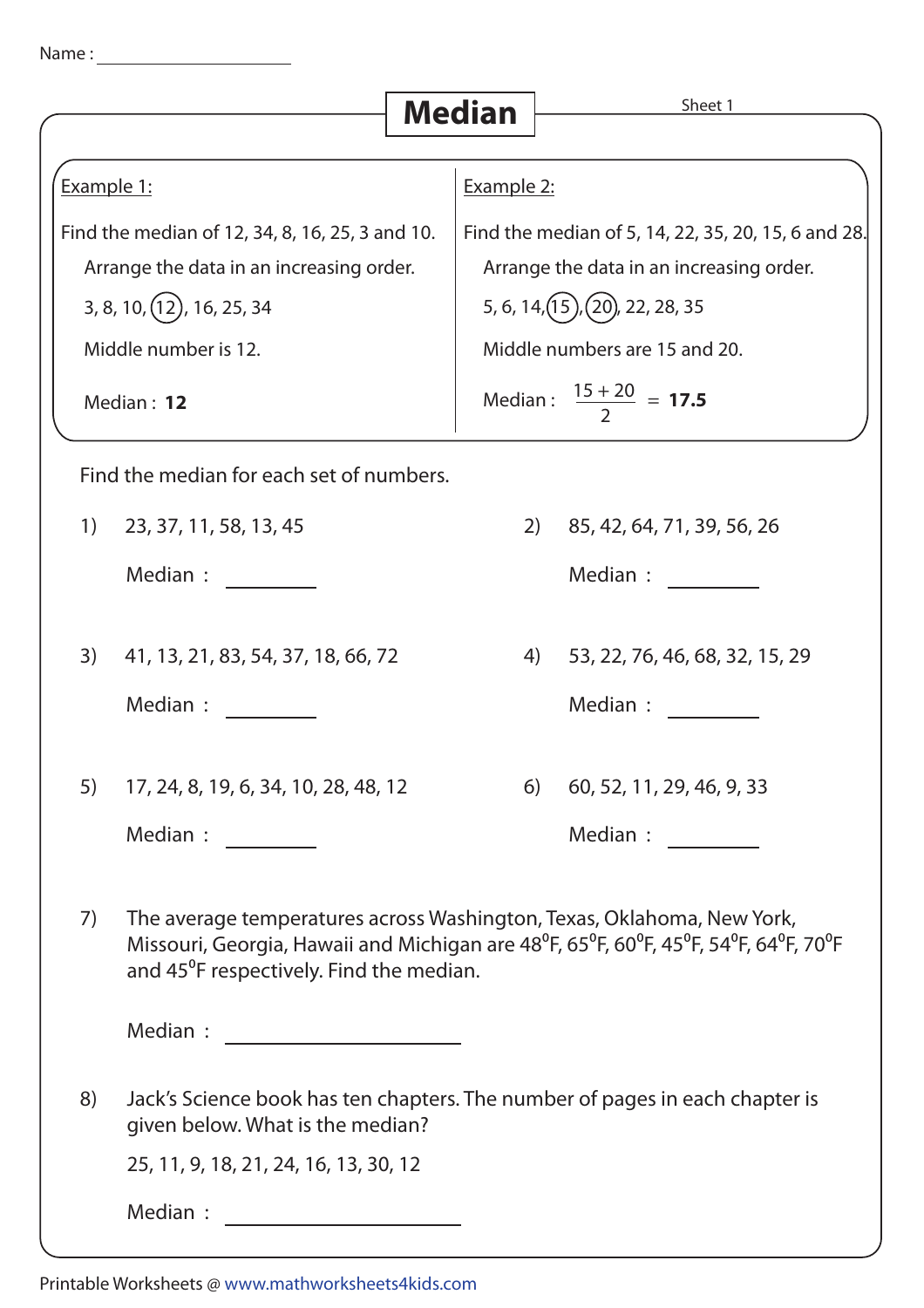| Name |  |  |
|------|--|--|
|      |  |  |
|      |  |  |

|                                                 |                                                                                                                                                                                                                       | <b>Median</b> | Sheet 1                                             |  |  |  |
|-------------------------------------------------|-----------------------------------------------------------------------------------------------------------------------------------------------------------------------------------------------------------------------|---------------|-----------------------------------------------------|--|--|--|
|                                                 |                                                                                                                                                                                                                       |               |                                                     |  |  |  |
| Example 1:                                      |                                                                                                                                                                                                                       |               | Example 2:                                          |  |  |  |
| Find the median of 12, 34, 8, 16, 25, 3 and 10. |                                                                                                                                                                                                                       |               | Find the median of 5, 14, 22, 35, 20, 15, 6 and 28. |  |  |  |
|                                                 | Arrange the data in an increasing order.                                                                                                                                                                              |               | Arrange the data in an increasing order.            |  |  |  |
|                                                 | 3, 8, 10, (12), 16, 25, 34                                                                                                                                                                                            |               | 5, 6, 14, $(15)$ , $(20)$ , 22, 28, 35              |  |  |  |
| Middle number is 12.                            |                                                                                                                                                                                                                       |               | Middle numbers are 15 and 20.                       |  |  |  |
| Median: 12                                      |                                                                                                                                                                                                                       |               | Median: $\frac{15+20}{2}$ = <b>17.5</b>             |  |  |  |
|                                                 | Find the median for each set of numbers.                                                                                                                                                                              |               |                                                     |  |  |  |
| 1)                                              | 23, 37, 11, 58, 13, 45                                                                                                                                                                                                | 2)            | 85, 42, 64, 71, 39, 56, 26                          |  |  |  |
|                                                 | Median :                                                                                                                                                                                                              |               | Median :                                            |  |  |  |
| 3)                                              | 41, 13, 21, 83, 54, 37, 18, 66, 72                                                                                                                                                                                    | 4)            | 53, 22, 76, 46, 68, 32, 15, 29                      |  |  |  |
|                                                 | Median :                                                                                                                                                                                                              |               | Median :                                            |  |  |  |
| 5)                                              | 17, 24, 8, 19, 6, 34, 10, 28, 48, 12                                                                                                                                                                                  | 6)            | 60, 52, 11, 29, 46, 9, 33                           |  |  |  |
|                                                 | Median : $\frac{1}{\sqrt{1-\frac{1}{2}}\sqrt{1-\frac{1}{2}}\sqrt{1-\frac{1}{2}}\sqrt{1-\frac{1}{2}}\sqrt{1-\frac{1}{2}}$                                                                                              |               | Median :                                            |  |  |  |
| 7)                                              | The average temperatures across Washington, Texas, Oklahoma, New York,<br>Missouri, Georgia, Hawaii and Michigan are 48°F, 65°F, 60°F, 45°F, 54°F, 64°F, 70°F<br>and 45 <sup>°</sup> F respectively. Find the median. |               |                                                     |  |  |  |
|                                                 |                                                                                                                                                                                                                       |               |                                                     |  |  |  |
| 8)                                              | Jack's Science book has ten chapters. The number of pages in each chapter is<br>given below. What is the median?                                                                                                      |               |                                                     |  |  |  |
|                                                 | 25, 11, 9, 18, 21, 24, 16, 13, 30, 12                                                                                                                                                                                 |               |                                                     |  |  |  |
|                                                 | Median :                                                                                                                                                                                                              |               |                                                     |  |  |  |